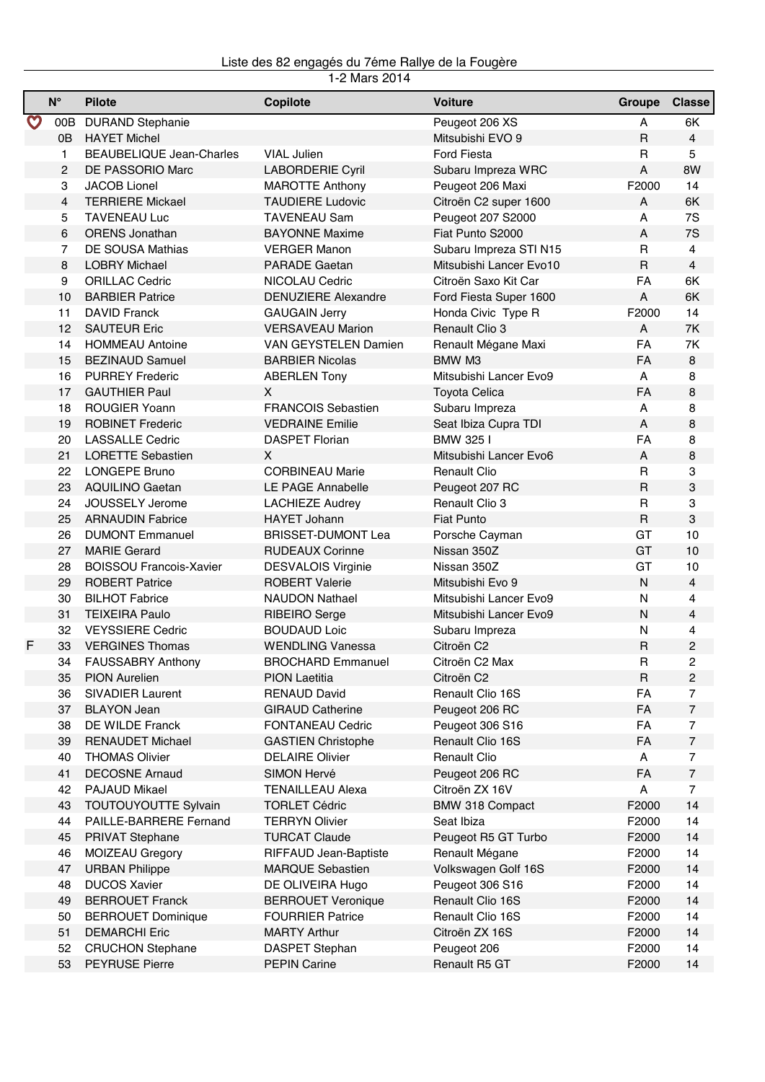## Liste des 82 engagés du 7éme Rallye de la Fougère

|                                                  | $\mathsf{N}^\circ$ | <b>Pilote</b>                   | Copilote                   | <b>Voiture</b>          | Groupe       | <b>Classe</b>             |
|--------------------------------------------------|--------------------|---------------------------------|----------------------------|-------------------------|--------------|---------------------------|
| $\mathbf{\mathbf{\mathbf{\mathbf{\mathbf{C}}}}}$ | 00B                | <b>DURAND Stephanie</b>         |                            | Peugeot 206 XS          | A            | 6K                        |
|                                                  | 0B                 | <b>HAYET Michel</b>             |                            | Mitsubishi EVO 9        | R            | $\overline{4}$            |
|                                                  | 1                  | <b>BEAUBELIQUE Jean-Charles</b> | <b>VIAL Julien</b>         | <b>Ford Fiesta</b>      | R            | 5                         |
|                                                  | $\overline{c}$     | DE PASSORIO Marc                | LABORDERIE Cyril           | Subaru Impreza WRC      | A            | 8W                        |
|                                                  | 3                  | <b>JACOB Lionel</b>             | <b>MAROTTE Anthony</b>     | Peugeot 206 Maxi        | F2000        | 14                        |
|                                                  | $\overline{4}$     | <b>TERRIERE Mickael</b>         | <b>TAUDIERE Ludovic</b>    | Citroën C2 super 1600   | A            | 6K                        |
|                                                  | 5                  | <b>TAVENEAU Luc</b>             | <b>TAVENEAU Sam</b>        | Peugeot 207 S2000       | A            | 7S                        |
|                                                  | 6                  | <b>ORENS Jonathan</b>           | <b>BAYONNE Maxime</b>      | Fiat Punto S2000        | A            | 7S                        |
|                                                  | $\overline{7}$     | DE SOUSA Mathias                | <b>VERGER Manon</b>        | Subaru Impreza STI N15  | R            | 4                         |
|                                                  | 8                  | <b>LOBRY Michael</b>            | <b>PARADE Gaetan</b>       | Mitsubishi Lancer Evo10 | $\mathsf{R}$ | $\overline{4}$            |
|                                                  | 9                  | <b>ORILLAC Cedric</b>           | NICOLAU Cedric             | Citroën Saxo Kit Car    | FA           | 6K                        |
|                                                  | 10                 | <b>BARBIER Patrice</b>          | <b>DENUZIERE Alexandre</b> | Ford Fiesta Super 1600  | A            | 6K                        |
|                                                  | 11                 | <b>DAVID Franck</b>             | <b>GAUGAIN Jerry</b>       | Honda Civic Type R      | F2000        | 14                        |
|                                                  | 12                 | <b>SAUTEUR Eric</b>             | <b>VERSAVEAU Marion</b>    | <b>Renault Clio 3</b>   | A            | 7K                        |
|                                                  | 14                 | <b>HOMMEAU Antoine</b>          | VAN GEYSTELEN Damien       | Renault Mégane Maxi     | FA           | 7K                        |
|                                                  | 15                 | <b>BEZINAUD Samuel</b>          | <b>BARBIER Nicolas</b>     | BMW M3                  | FA           | 8                         |
|                                                  | 16                 | <b>PURREY Frederic</b>          | <b>ABERLEN Tony</b>        | Mitsubishi Lancer Evo9  | A            | 8                         |
|                                                  | 17                 | <b>GAUTHIER Paul</b>            | X.                         | <b>Toyota Celica</b>    | <b>FA</b>    | 8                         |
|                                                  | 18                 | <b>ROUGIER Yoann</b>            | <b>FRANCOIS Sebastien</b>  | Subaru Impreza          | Α            | 8                         |
|                                                  | 19                 | <b>ROBINET Frederic</b>         | <b>VEDRAINE Emilie</b>     | Seat Ibiza Cupra TDI    | A            | 8                         |
|                                                  | 20                 | <b>LASSALLE Cedric</b>          | <b>DASPET Florian</b>      | BMW 325 I               | FA           | 8                         |
|                                                  | 21                 | <b>LORETTE Sebastien</b>        | X                          | Mitsubishi Lancer Evo6  | A            | 8                         |
|                                                  | 22                 | <b>LONGEPE Bruno</b>            | <b>CORBINEAU Marie</b>     | <b>Renault Clio</b>     | R            | 3                         |
|                                                  | 23                 | <b>AQUILINO Gaetan</b>          | LE PAGE Annabelle          | Peugeot 207 RC          | $\mathsf R$  | $\ensuremath{\mathsf{3}}$ |
|                                                  | 24                 | JOUSSELY Jerome                 | <b>LACHIEZE Audrey</b>     | Renault Clio 3          | R            | 3                         |
|                                                  | 25                 | <b>ARNAUDIN Fabrice</b>         | <b>HAYET Johann</b>        | <b>Fiat Punto</b>       | $\mathsf R$  | $\ensuremath{\mathsf{3}}$ |
|                                                  | 26                 | <b>DUMONT Emmanuel</b>          | <b>BRISSET-DUMONT Lea</b>  | Porsche Cayman          | GT           | 10                        |
|                                                  | 27                 | <b>MARIE Gerard</b>             | <b>RUDEAUX Corinne</b>     | Nissan 350Z             | GT           | 10                        |
|                                                  | 28                 | <b>BOISSOU Francois-Xavier</b>  | <b>DESVALOIS Virginie</b>  | Nissan 350Z             | GT           | 10                        |
|                                                  | 29                 | <b>ROBERT Patrice</b>           | <b>ROBERT Valerie</b>      | Mitsubishi Evo 9        | N            | 4                         |
|                                                  | 30                 | <b>BILHOT Fabrice</b>           | <b>NAUDON Nathael</b>      | Mitsubishi Lancer Evo9  | N            | 4                         |
|                                                  | 31                 | <b>TEIXEIRA Paulo</b>           | <b>RIBEIRO</b> Serge       | Mitsubishi Lancer Evo9  | N            | 4                         |
|                                                  | 32                 | <b>VEYSSIERE Cedric</b>         | <b>BOUDAUD Loic</b>        | Subaru Impreza          | Ν            | 4                         |
| F                                                | 33                 | <b>VERGINES Thomas</b>          | <b>WENDLING Vanessa</b>    | Citroën C2              | R            | 2                         |
|                                                  | 34                 | <b>FAUSSABRY Anthony</b>        | <b>BROCHARD Emmanuel</b>   | Citroën C2 Max          | R            | 2                         |
|                                                  | 35                 | <b>PION Aurelien</b>            | <b>PION Laetitia</b>       | Citroën C2              | R            | $\overline{c}$            |
|                                                  | 36                 | <b>SIVADIER Laurent</b>         | <b>RENAUD David</b>        | Renault Clio 16S        | FA           | $\overline{7}$            |
|                                                  | 37                 | <b>BLAYON Jean</b>              | <b>GIRAUD Catherine</b>    | Peugeot 206 RC          | FA           | $\overline{7}$            |
|                                                  | 38                 | DE WILDE Franck                 | <b>FONTANEAU Cedric</b>    | Peugeot 306 S16         | FA           | 7                         |
|                                                  | 39                 | <b>RENAUDET Michael</b>         | <b>GASTIEN Christophe</b>  | Renault Clio 16S        | FA           | $\overline{7}$            |
|                                                  | 40                 | <b>THOMAS Olivier</b>           | <b>DELAIRE Olivier</b>     | <b>Renault Clio</b>     | A            | $\overline{7}$            |
|                                                  | 41                 | <b>DECOSNE Arnaud</b>           | <b>SIMON Hervé</b>         | Peugeot 206 RC          | FA           | $\overline{7}$            |
|                                                  | 42                 | PAJAUD Mikael                   | <b>TENAILLEAU Alexa</b>    | Citroën ZX 16V          | Α            | $\overline{7}$            |
|                                                  | 43                 | TOUTOUYOUTTE Sylvain            | <b>TORLET Cédric</b>       | BMW 318 Compact         | F2000        | 14                        |
|                                                  | 44                 | PAILLE-BARRERE Fernand          | <b>TERRYN Olivier</b>      | Seat Ibiza              | F2000        | 14                        |
|                                                  | 45                 | <b>PRIVAT Stephane</b>          | <b>TURCAT Claude</b>       | Peugeot R5 GT Turbo     | F2000        | 14                        |
|                                                  | 46                 | MOIZEAU Gregory                 | RIFFAUD Jean-Baptiste      | Renault Mégane          | F2000        | 14                        |
|                                                  | 47                 | <b>URBAN Philippe</b>           | <b>MARQUE Sebastien</b>    | Volkswagen Golf 16S     | F2000        | 14                        |
|                                                  | 48                 | <b>DUCOS Xavier</b>             | DE OLIVEIRA Hugo           | Peugeot 306 S16         | F2000        | 14                        |
|                                                  | 49                 | <b>BERROUET Franck</b>          | <b>BERROUET Veronique</b>  | Renault Clio 16S        | F2000        | 14                        |
|                                                  | 50                 | <b>BERROUET Dominique</b>       | <b>FOURRIER Patrice</b>    | Renault Clio 16S        | F2000        | 14                        |
|                                                  | 51                 | <b>DEMARCHI Eric</b>            | <b>MARTY Arthur</b>        | Citroën ZX 16S          | F2000        | 14                        |
|                                                  | 52                 | <b>CRUCHON Stephane</b>         | DASPET Stephan             | Peugeot 206             | F2000        | 14                        |
|                                                  | 53                 | <b>PEYRUSE Pierre</b>           | <b>PEPIN Carine</b>        | Renault R5 GT           | F2000        | 14                        |
|                                                  |                    |                                 |                            |                         |              |                           |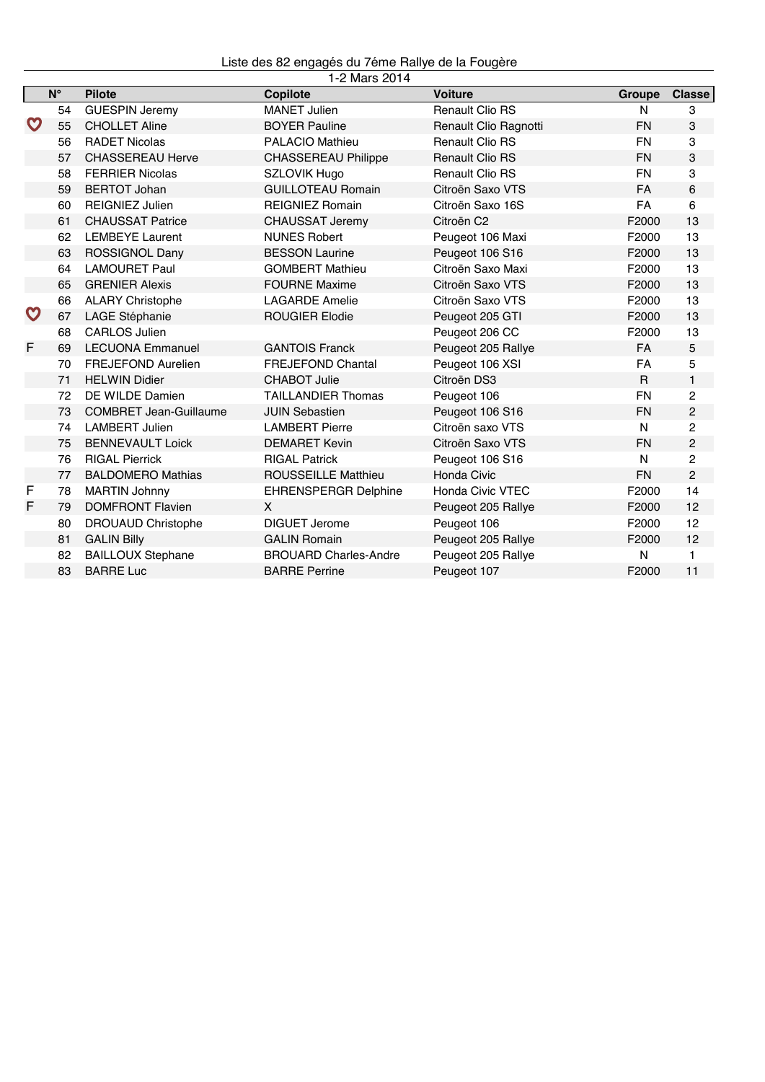Liste des 82 engagés du 7éme Rallye de la Fougère

|                  |             |                               | 1-2 Mars 2014                |                         |              |                |
|------------------|-------------|-------------------------------|------------------------------|-------------------------|--------------|----------------|
|                  | $N^{\circ}$ | <b>Pilote</b>                 | Copilote                     | <b>Voiture</b>          | Groupe       | <b>Classe</b>  |
|                  | 54          | <b>GUESPIN Jeremy</b>         | <b>MANET Julien</b>          | <b>Renault Clio RS</b>  | N            | 3              |
| $\mathbf \Theta$ | 55          | <b>CHOLLET Aline</b>          | <b>BOYER Pauline</b>         | Renault Clio Ragnotti   | <b>FN</b>    | 3              |
|                  | 56          | <b>RADET Nicolas</b>          | <b>PALACIO Mathieu</b>       | <b>Renault Clio RS</b>  | <b>FN</b>    | 3              |
|                  | 57          | <b>CHASSEREAU Herve</b>       | <b>CHASSEREAU Philippe</b>   | <b>Renault Clio RS</b>  | <b>FN</b>    | 3              |
|                  | 58          | <b>FERRIER Nicolas</b>        | <b>SZLOVIK Hugo</b>          | <b>Renault Clio RS</b>  | <b>FN</b>    | 3              |
|                  | 59          | <b>BERTOT Johan</b>           | <b>GUILLOTEAU Romain</b>     | Citroën Saxo VTS        | <b>FA</b>    | 6              |
|                  | 60          | <b>REIGNIEZ Julien</b>        | <b>REIGNIEZ Romain</b>       | Citroën Saxo 16S        | FA           | $\,6\,$        |
|                  | 61          | <b>CHAUSSAT Patrice</b>       | <b>CHAUSSAT Jeremy</b>       | Citroën C2              | F2000        | 13             |
|                  | 62          | <b>LEMBEYE Laurent</b>        | <b>NUNES Robert</b>          | Peugeot 106 Maxi        | F2000        | 13             |
|                  | 63          | <b>ROSSIGNOL Dany</b>         | <b>BESSON Laurine</b>        | Peugeot 106 S16         | F2000        | 13             |
|                  | 64          | <b>LAMOURET Paul</b>          | <b>GOMBERT Mathieu</b>       | Citroën Saxo Maxi       | F2000        | 13             |
|                  | 65          | <b>GRENIER Alexis</b>         | <b>FOURNE Maxime</b>         | Citroën Saxo VTS        | F2000        | 13             |
|                  | 66          | <b>ALARY Christophe</b>       | <b>LAGARDE Amelie</b>        | Citroën Saxo VTS        | F2000        | 13             |
| $\mathbf \Theta$ | 67          | LAGE Stéphanie                | <b>ROUGIER Elodie</b>        | Peugeot 205 GTI         | F2000        | 13             |
|                  | 68          | <b>CARLOS Julien</b>          |                              | Peugeot 206 CC          | F2000        | 13             |
| F                | 69          | <b>LECUONA Emmanuel</b>       | <b>GANTOIS Franck</b>        | Peugeot 205 Rallye      | <b>FA</b>    | 5              |
|                  | 70          | <b>FREJEFOND Aurelien</b>     | <b>FREJEFOND Chantal</b>     | Peugeot 106 XSI         | <b>FA</b>    | 5              |
|                  | 71          | <b>HELWIN Didier</b>          | <b>CHABOT Julie</b>          | Citroën DS3             | $\mathsf{R}$ | $\mathbf{1}$   |
|                  | 72          | DE WILDE Damien               | <b>TAILLANDIER Thomas</b>    | Peugeot 106             | <b>FN</b>    | 2              |
|                  | 73          | <b>COMBRET Jean-Guillaume</b> | <b>JUIN Sebastien</b>        | Peugeot 106 S16         | <b>FN</b>    | $\overline{c}$ |
|                  | 74          | <b>LAMBERT Julien</b>         | <b>LAMBERT Pierre</b>        | Citroën saxo VTS        | N            | $\overline{c}$ |
|                  | 75          | <b>BENNEVAULT Loick</b>       | <b>DEMARET Kevin</b>         | Citroën Saxo VTS        | <b>FN</b>    | 2              |
|                  | 76          | <b>RIGAL Pierrick</b>         | <b>RIGAL Patrick</b>         | Peugeot 106 S16         | N            | $\overline{2}$ |
|                  | 77          | <b>BALDOMERO Mathias</b>      | <b>ROUSSEILLE Matthieu</b>   | Honda Civic             | <b>FN</b>    | $\overline{2}$ |
| F                | 78          | <b>MARTIN Johnny</b>          | <b>EHRENSPERGR Delphine</b>  | <b>Honda Civic VTEC</b> | F2000        | 14             |
| F                | 79          | <b>DOMFRONT Flavien</b>       | X                            | Peugeot 205 Rallye      | F2000        | 12             |
|                  | 80          | <b>DROUAUD Christophe</b>     | <b>DIGUET Jerome</b>         | Peugeot 106             | F2000        | 12             |
|                  | 81          | <b>GALIN Billy</b>            | <b>GALIN Romain</b>          | Peugeot 205 Rallye      | F2000        | 12             |
|                  | 82          | <b>BAILLOUX Stephane</b>      | <b>BROUARD Charles-Andre</b> | Peugeot 205 Rallye      | N            | 1              |
|                  | 83          | <b>BARRE Luc</b>              | <b>BARRE Perrine</b>         | Peugeot 107             | F2000        | 11             |